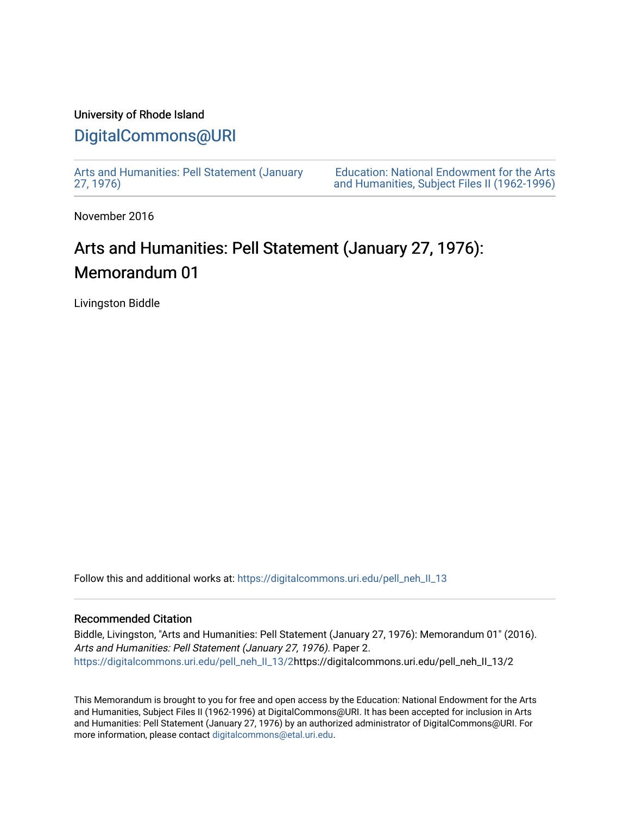## University of Rhode Island [DigitalCommons@URI](https://digitalcommons.uri.edu/)

[Arts and Humanities: Pell Statement \(January](https://digitalcommons.uri.edu/pell_neh_II_13)  [27, 1976\)](https://digitalcommons.uri.edu/pell_neh_II_13) 

[Education: National Endowment for the Arts](https://digitalcommons.uri.edu/pell_neh_II)  [and Humanities, Subject Files II \(1962-1996\)](https://digitalcommons.uri.edu/pell_neh_II) 

November 2016

# Arts and Humanities: Pell Statement (January 27, 1976): Memorandum 01

Livingston Biddle

Follow this and additional works at: [https://digitalcommons.uri.edu/pell\\_neh\\_II\\_13](https://digitalcommons.uri.edu/pell_neh_II_13?utm_source=digitalcommons.uri.edu%2Fpell_neh_II_13%2F2&utm_medium=PDF&utm_campaign=PDFCoverPages) 

### Recommended Citation

Biddle, Livingston, "Arts and Humanities: Pell Statement (January 27, 1976): Memorandum 01" (2016). Arts and Humanities: Pell Statement (January 27, 1976). Paper 2. [https://digitalcommons.uri.edu/pell\\_neh\\_II\\_13/2h](https://digitalcommons.uri.edu/pell_neh_II_13/2?utm_source=digitalcommons.uri.edu%2Fpell_neh_II_13%2F2&utm_medium=PDF&utm_campaign=PDFCoverPages)ttps://digitalcommons.uri.edu/pell\_neh\_II\_13/2

This Memorandum is brought to you for free and open access by the Education: National Endowment for the Arts and Humanities, Subject Files II (1962-1996) at DigitalCommons@URI. It has been accepted for inclusion in Arts and Humanities: Pell Statement (January 27, 1976) by an authorized administrator of DigitalCommons@URI. For more information, please contact [digitalcommons@etal.uri.edu.](mailto:digitalcommons@etal.uri.edu)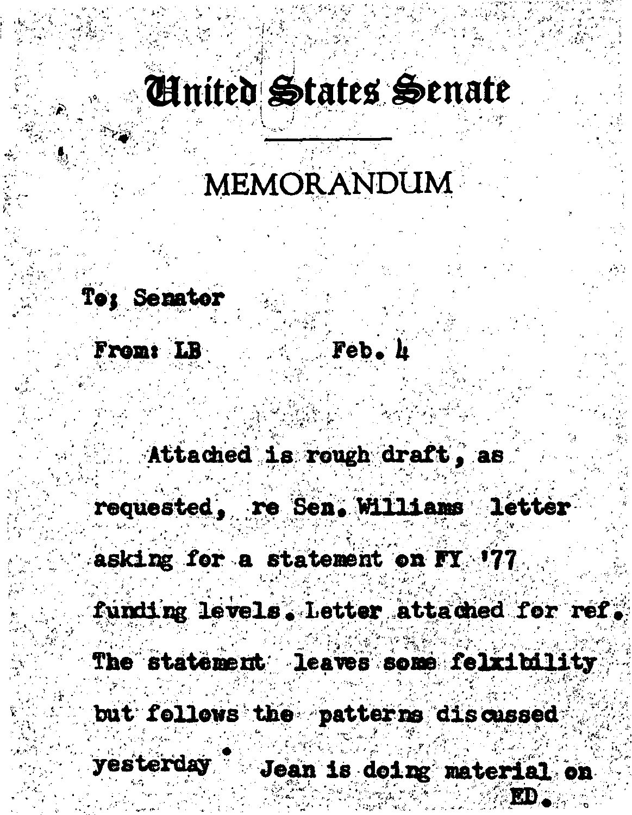# **Cinited States Senate**

## MEMORANDUM

### To: Senator

From: LB Feb. h

Attached is rough draft, as

requested, re Sen. Williams letter

asking for a statement on FY '77

funding levels. Letter attached for ref. The statement leaves some felxibility but follows the patterns discussed yesterday Jean is deing material on RD.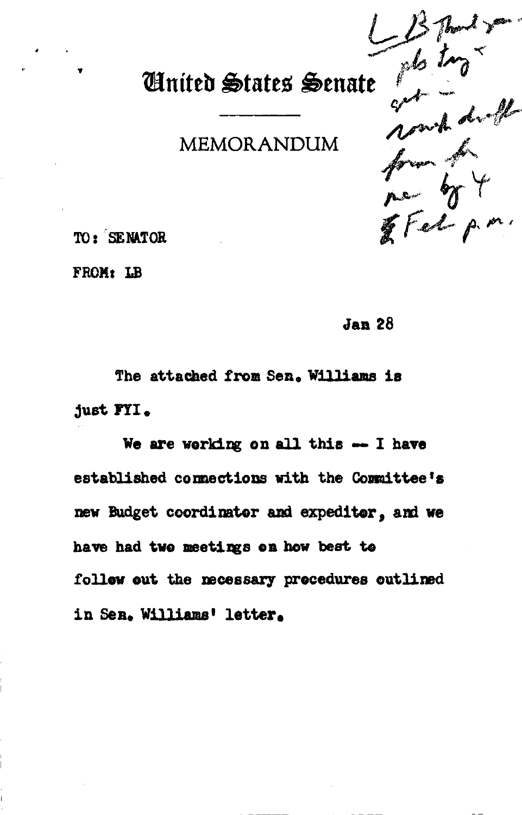# United States Senate photographs

TO: SENATOR

FROM: LB

**Jan 28** 

The attached from Sen. Williams is just FYI.

We are working on all this -- I have established connections with the Committee's new Budget coordinator and expeditor, and we have had two meetings on how best to follew out the necessary procedures outlined in Sen. Williams' letter.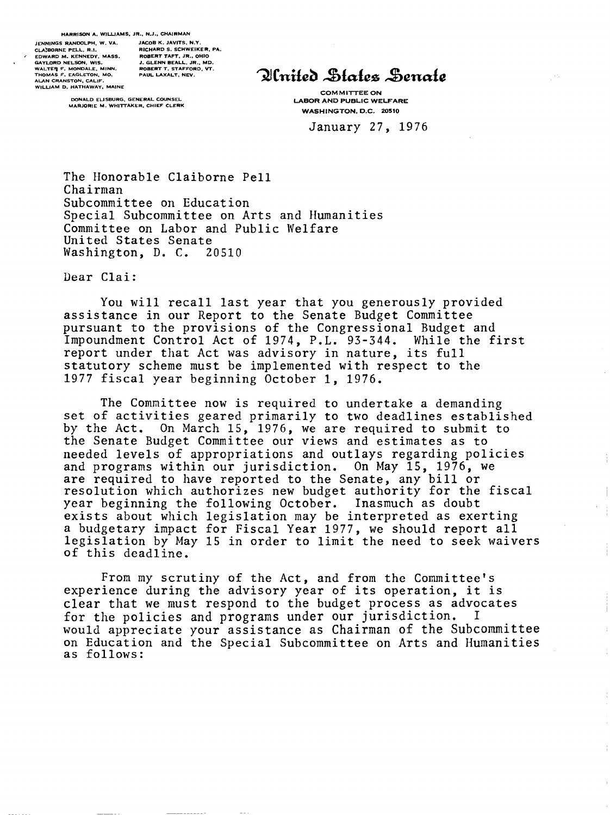**JENNINGS RANDOLPH, W. VA. JACOB K. JAVITS, N.Y.**<br>CLA'BORNE PELL. R.I. **R. RICHARD S. SCHWEIK** FIDWARD M. KENNEDY, MASS. ARDERT TAFT, JR., MION ACHLORD NELSON, WIS.<br>WALLTER F. MONDALE, MINN. AREN BEALL, JR., MD.<br>WALTER F. MONDALE, MINN. ROBERT T. STAFFORD, VT.<br>ALAN CRANSTON, CALIF.<br>ALAN D. HATHAWAY, MAINE

RICHARD S. SCHWEIKER, PA, **RICHARD S. SCHWEIKER, PA, <br><b>ROBERT TAFT**, JR., OHIO<br>J. GLENN BEALL, JR., MD.

**DONALD ELISBURG, GENERAL COUNSEL MARJORIE M. WHITTAKER, CHIEF CLERK** 

Ilnited States Senate

COMMITTEE ON LABOR AND PUBLIC WELFARE WASHINGTON, D.C. 20510

January 27, 1976

The Honorable Claiborne Pell Chairman Subcommittee on Education Special Subcommittee on Arts and Humanities Committee on Labor and Public Welfare United States Senate<br>Washington, D. C. 20510 Washington, D. C.

Dear Clai:

You will recall last year that you generously provided assistance in our Report to the Senate Budget Committee pursuant to the provisions of the Congressional Budget and Impoundment Control Act of 1974, P.L. 93-344. While the first report under that Act was advisory in nature, its full statutory scheme must be implemented with respect to the 1977 fiscal year beginning October 1, 1976.

The Committee now is required to undertake a demanding set of activities geared primarily to two deadlines established by the Act. On March 15, 1976, we are required to submit to the Senate Budget Committee our views and estimates as to needed levels of appropriations and outlays regarding policies and programs within our jurisdiction. On May 15, 1976, we are required to have reported to the Senate, any bill or resolution which authorizes new budget authority for the fiscal year beginning the following October. Inasmuch as doubt exists about which legislation may be interpreted as exerting a budgetary impact for Fiscal Year 1977, we should report all legislation by May 15 in order to limit the need to seek waivers of this deadline.

From my scrutiny of the Act, and from the Committee's experience during the advisory year of its operation, it is clear that we must respond to the budget process as advocates<br>for the policies and programs under our iurisdiction. I for the policies and programs under our jurisdiction. would appreciate your assistance as Chairman of the Subcommittee on Education and the Special Subcommittee on Arts and Humanities as follows: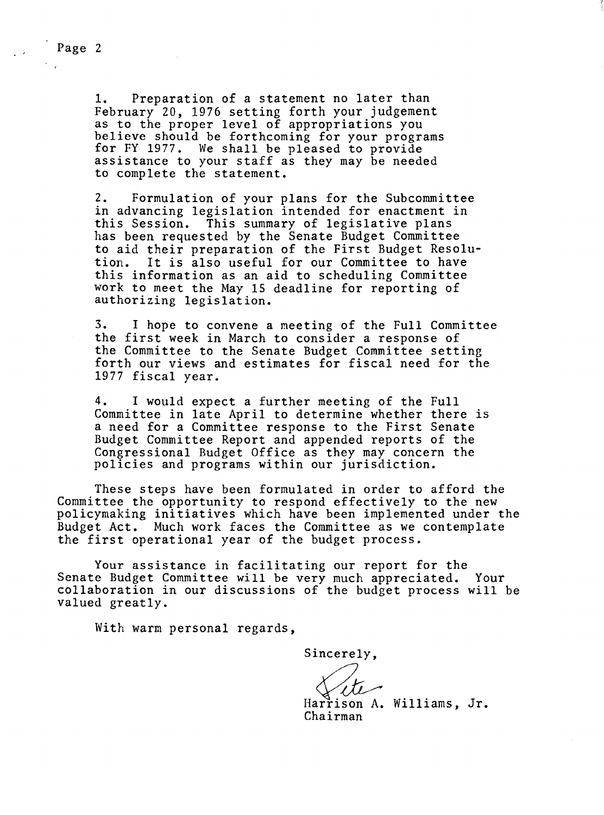Page 2

1. Preparation of a statement no later than February 20, 1976 setting forth your judgement<br>as to the proper level of appropriations you believe should be forthcoming for your programs for FY 1977. We shall be pleased to provide assistance to your staff as they may be needed to complete the statement.

2. Formulation of your plans for the Subcommittee in advancing legislation intended for enactment in this Session. This summary of legislative plans has been requested by the Senate Budget Committee to aid their preparation of the First Budget Resolu-It is also useful for our Committee to have this information as an aid to scheduling Committee work to meet the May 15 deadline for reporting of authorizing legislation.

3. I hope to convene a meeting of the Full Committee the first week in March to consider a response of the Committee to the Senate Budget Committee setting forth our views and estimates for fiscal need for the 1977 fiscal year.

4. I would expect a further meeting of the Full Committee in late April to determine whether there is a need for a Committee response to the First Senate Budget Committee Report and appended reports of the Congressional Budget Office as they may concern the policies and programs within our jurisdiction.

These steps have been formulated in order to afford the Committee the opportunity to respond effectively to the new policymaking initiatives which have been implemented under the Budget Act. Much work faces the Committee as we contemplate the first operational year of the budget process.

Your assistance in facilitating our report for the Senate Budget Committee will be very much appreciated. Your collaboration in our discussions of the budget process will be valued greatly.

With warm personal regards,

Sincerely,

Harrison A. Williams, Jr. Chairman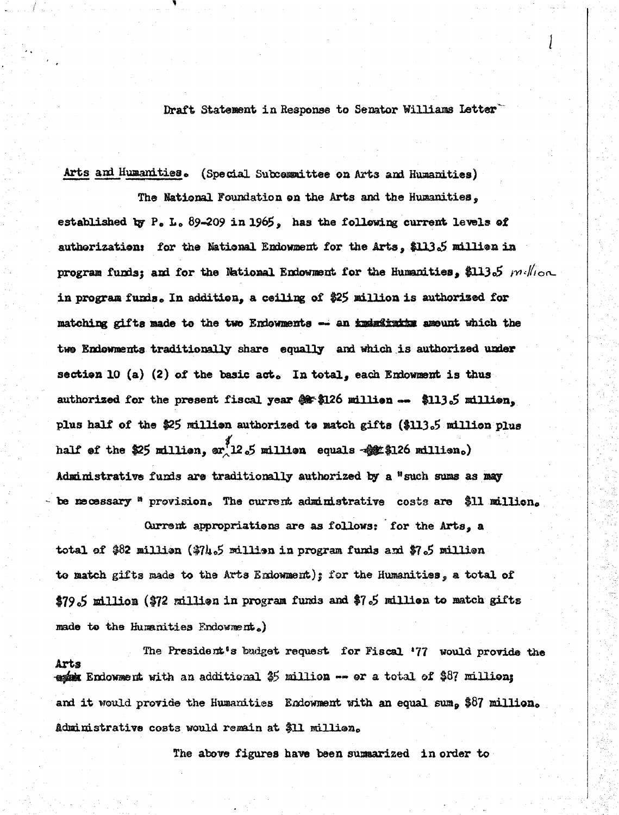Draft Statement in Response to Senator Williams Letter

Arts and Humanities. (Special Subcommittee on Arts and Humanities)

The National Foundation on the Arts and the Humanities, established by P. L. 89-209 in 1965, has the following current levels of authorization: for the National Endowment for the Arts, \$113.5 million in program funds; and for the National Endowment for the Humanities, \$113.5  $m$ Wion in program funds. In addition, a ceiling of \$25 million is authorized for matching gifts made to the two Endowments -- an indeximate amount which the two Endowments traditionally share equally and which is authorized under section 10 (a) (2) of the basic act. In total, each Endowment is thus authorized for the present fiscal year \$ \$126 million -- \$113.5 million. plus half of the \$25 million authorized to match gifts (\$113.5 million plus half of the \$25 million, or  $12.5$  million equals  $-$ \$\$126 million.) Administrative funds are traditionally authorized by a "such sums as may - be mecessary  $n$  provision. The current administrative costs are \$11 million.

Current appropriations are as follows: for the Arts, a total of \$82 million (\$74.5 million in program funds and \$7.5 million to match gifts made to the Arts Endowment); for the Humanities, a total of \$79.5 million (\$72 million in program funds and \$7.5 million to match gifts made to the Humanities Endowment.)

The President's budget request for Fiscal '77 would provide the Arts esse Endowment with an additional  $$5$  million -- or a total of \$87 million; and it would provide the Humanities Endowment with an equal sum, \$87 million. Administrative costs would remain at \$11 million.

The above figures have been summarized in order to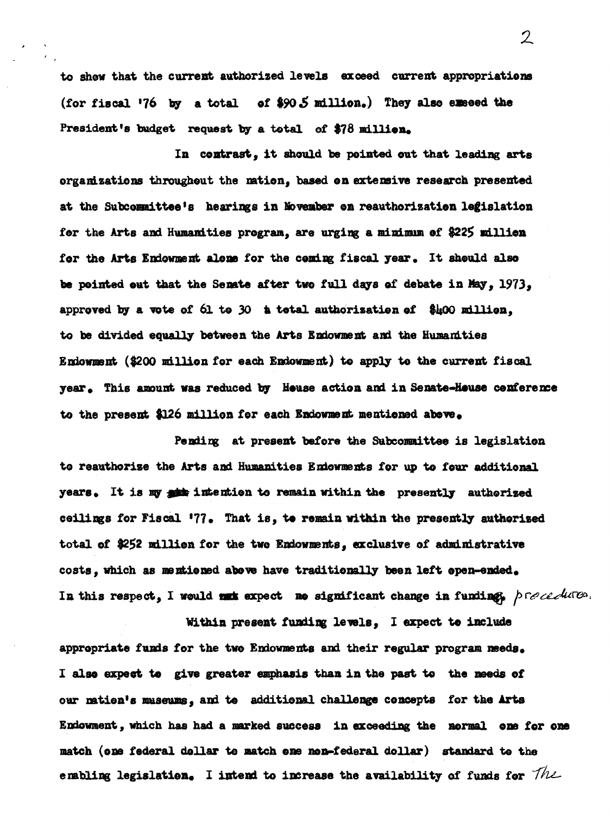to show that the current authorized levels exceed current appropriations (for fiscal '76 by a total of \$90.5 million.) They also execed the President's budget request by a total of \$78 million.

In contrast, it should be pointed out that leading arts organizations throughout the mation, based on extensive research presented at the Subcommittee's hearings in Movember on reauthorization legislation for the Arts and Humanities program, are urging a minimum of \$225 million for the Arts Endowment alone for the coming fiscal year. It should also be pointed out that the Senate after two full days of debate in May, 1973, approved by a vote of 61 to 30 a total authorization of \$400 million. to be divided equally between the Arts Endownent and the Humanities Endowment (\$200 million for each Endowment) to apply to the current fiscal year. This amount was reduced by House action and in Senate-House conference to the present \$126 million for each Endownent mentioned above.

Pending at present before the Subcommittee is legislation to reauthorize the Arts and Humanities Endowments for up to four additional years. It is my sit intention to remain within the presently authorized ceilings for Fiscal '77. That is, to remain within the presently authorized total of \$252 million for the two Endowments, exclusive of administrative costs, which as mentioned above have traditionally been left epen-ended. In this respect, I would not expect no significant change in funding, precedures.

Within present funding levels, I expect to include appropriate funds for the two Endowments and their regular program needs. I also expect to give greater emphasis than in the past to the needs of our mation's museums, and to additional challenge concepts for the Arts Endowment, which has had a marked success in exceeding the normal one for one match (one federal dollar to match ene non-federal dollar) standard to the enabling legislation. I intend to increase the availability of funds for  $The$ 

 $\overline{2}$